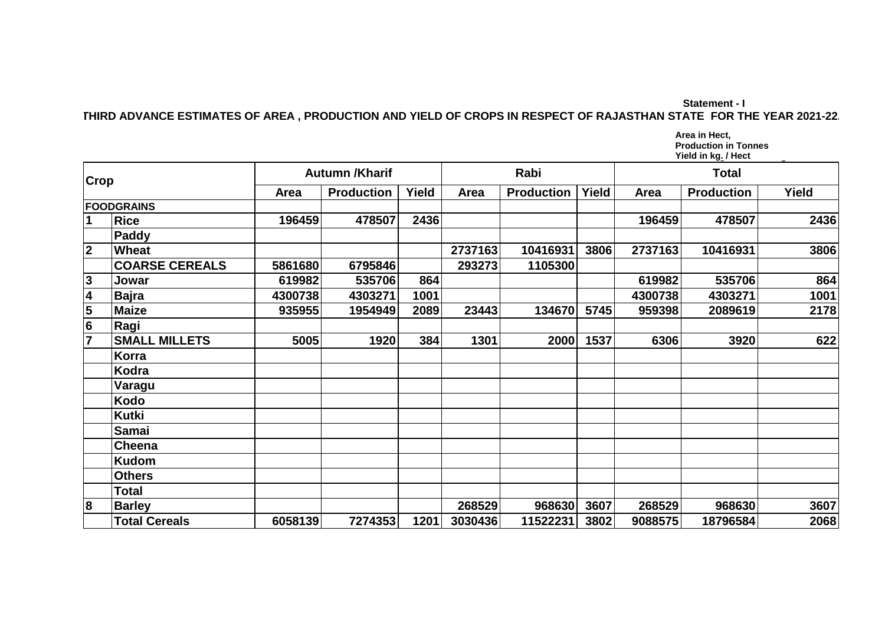**Statement - I THIRD ADVANCE ESTIMATES OF AREA , PRODUCTION AND YIELD OF CROPS IN RESPECT OF RAJASTHAN STATE FOR THE YEAR 2021-22.**

> A :- Area in **Thousand** hectares Area in Hect,<br>Production in Tonnes Yield in kg<u>.</u> / Hect **Production in Tonnes**

| <b>Crop</b>             |                       | <b>Autumn /Kharif</b> |                   |       | Rabi    |                   |       | Total   |                   |       |
|-------------------------|-----------------------|-----------------------|-------------------|-------|---------|-------------------|-------|---------|-------------------|-------|
|                         |                       | Area                  | <b>Production</b> | Yield | Area    | <b>Production</b> | Yield | Area    | <b>Production</b> | Yield |
| <b>FOODGRAINS</b>       |                       |                       |                   |       |         |                   |       |         |                   |       |
| $\mathbf 1$             | <b>Rice</b>           | 196459                | 478507            | 2436  |         |                   |       | 196459  | 478507            | 2436  |
|                         | Paddy                 |                       |                   |       |         |                   |       |         |                   |       |
| $\overline{2}$          | Wheat                 |                       |                   |       | 2737163 | 10416931          | 3806  | 2737163 | 10416931          | 3806  |
|                         | <b>COARSE CEREALS</b> | 5861680               | 6795846           |       | 293273  | 1105300           |       |         |                   |       |
|                         | Jowar                 | 619982                | 535706            | 864   |         |                   |       | 619982  | 535706            | 864   |
| $\frac{3}{4}$           | Bajra                 | 4300738               | 4303271           | 1001  |         |                   |       | 4300738 | 4303271           | 1001  |
| 5                       | <b>Maize</b>          | 935955                | 1954949           | 2089  | 23443   | 134670            | 5745  | 959398  | 2089619           | 2178  |
| $6\overline{6}$         | Ragi                  |                       |                   |       |         |                   |       |         |                   |       |
| $\overline{7}$          | <b>SMALL MILLETS</b>  | 5005                  | 1920              | 384   | 1301    | 2000              | 1537  | 6306    | 3920              | 622   |
|                         | Korra                 |                       |                   |       |         |                   |       |         |                   |       |
|                         | Kodra                 |                       |                   |       |         |                   |       |         |                   |       |
|                         | <b>Varagu</b>         |                       |                   |       |         |                   |       |         |                   |       |
|                         | <b>Kodo</b>           |                       |                   |       |         |                   |       |         |                   |       |
|                         | <b>Kutki</b>          |                       |                   |       |         |                   |       |         |                   |       |
|                         | Samai                 |                       |                   |       |         |                   |       |         |                   |       |
|                         | Cheena                |                       |                   |       |         |                   |       |         |                   |       |
|                         | <b>Kudom</b>          |                       |                   |       |         |                   |       |         |                   |       |
|                         | <b>Others</b>         |                       |                   |       |         |                   |       |         |                   |       |
|                         | Total                 |                       |                   |       |         |                   |       |         |                   |       |
| $\overline{\mathbf{8}}$ | <b>Barley</b>         |                       |                   |       | 268529  | 968630            | 3607  | 268529  | 968630            | 3607  |
|                         | <b>Total Cereals</b>  | 6058139               | 7274353           | 1201  | 3030436 | 11522231          | 3802  | 9088575 | 18796584          | 2068  |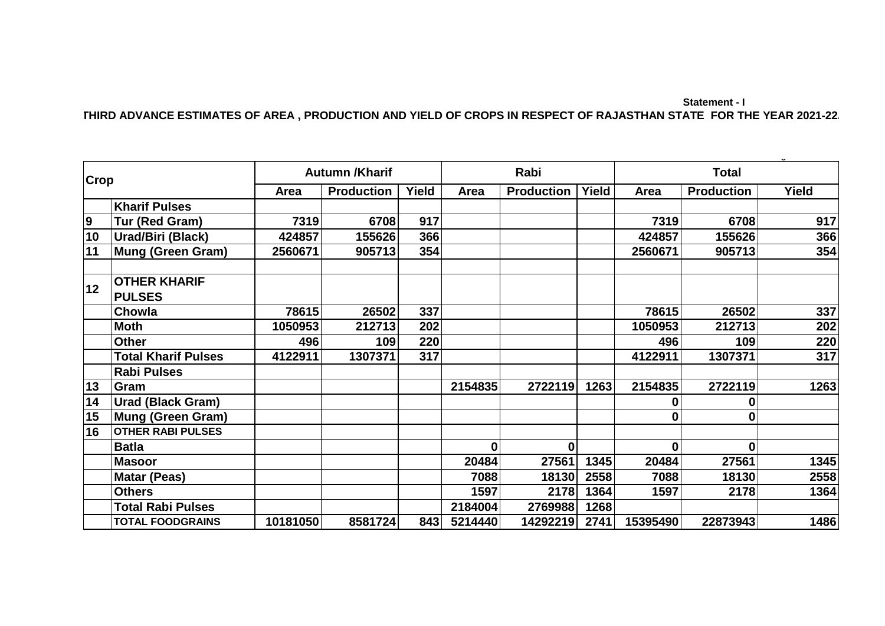## **Statement - I THIRD ADVANCE ESTIMATES OF AREA , PRODUCTION AND YIELD OF CROPS IN RESPECT OF RAJASTHAN STATE FOR THE YEAR 2021-22.**

| <b>Crop</b>    |                                      | <b>Autumn /Kharif</b> |                   |       | Rabi             |                   |              | <b>Total</b> |                   |       |
|----------------|--------------------------------------|-----------------------|-------------------|-------|------------------|-------------------|--------------|--------------|-------------------|-------|
|                |                                      | Area                  | <b>Production</b> | Yield | Area             | <b>Production</b> | <b>Yield</b> | Area         | <b>Production</b> | Yield |
|                | <b>Kharif Pulses</b>                 |                       |                   |       |                  |                   |              |              |                   |       |
| $\overline{9}$ | Tur (Red Gram)                       | 7319                  | 6708              | 917   |                  |                   |              | 7319         | 6708              | 917   |
| 10             | <b>Urad/Biri (Black)</b>             | 424857                | 155626            | 366   |                  |                   |              | 424857       | 155626            | 366   |
| 11             | Mung (Green Gram)                    | 2560671               | 905713            | 354   |                  |                   |              | 2560671      | 905713            | 354   |
| 12             | <b>OTHER KHARIF</b><br><b>PULSES</b> |                       |                   |       |                  |                   |              |              |                   |       |
|                | Chowla                               | 78615                 | 26502             | 337   |                  |                   |              | 78615        | 26502             | 337   |
|                | <b>Moth</b>                          | 1050953               | 212713            | 202   |                  |                   |              | 1050953      | 212713            | 202   |
|                | <b>Other</b>                         | 496                   | 109               | 220   |                  |                   |              | 496          | 109               | 220   |
|                | <b>Total Kharif Pulses</b>           | 4122911               | 1307371           | 317   |                  |                   |              | 4122911      | 1307371           | 317   |
|                | <b>Rabi Pulses</b>                   |                       |                   |       |                  |                   |              |              |                   |       |
| 13             | Gram                                 |                       |                   |       | 2154835          | 2722119           | 1263         | 2154835      | 2722119           | 1263  |
| 14             | <b>Urad (Black Gram)</b>             |                       |                   |       |                  |                   |              | 0            | 0                 |       |
| 15             | Mung (Green Gram)                    |                       |                   |       |                  |                   |              | $\bf{0}$     | $\bf{0}$          |       |
| 16             | <b>OTHER RABI PULSES</b>             |                       |                   |       |                  |                   |              |              |                   |       |
|                | <b>Batla</b>                         |                       |                   |       | $\boldsymbol{0}$ | $\mathbf{0}$      |              | $\mathbf 0$  | $\bf{0}$          |       |
|                | <b>Masoor</b>                        |                       |                   |       | 20484            | 27561             | 1345         | 20484        | 27561             | 1345  |
|                | <b>Matar (Peas)</b>                  |                       |                   |       | 7088             | 18130             | 2558         | 7088         | 18130             | 2558  |
|                | <b>Others</b>                        |                       |                   |       | 1597             | 2178              | 1364         | 1597         | 2178              | 1364  |
|                | <b>Total Rabi Pulses</b>             |                       |                   |       | 2184004          | 2769988           | 1268         |              |                   |       |
|                | <b>TOTAL FOODGRAINS</b>              | 10181050              | 8581724           | 843   | 5214440          | 14292219          | 2741         | 15395490     | 22873943          | 1486  |